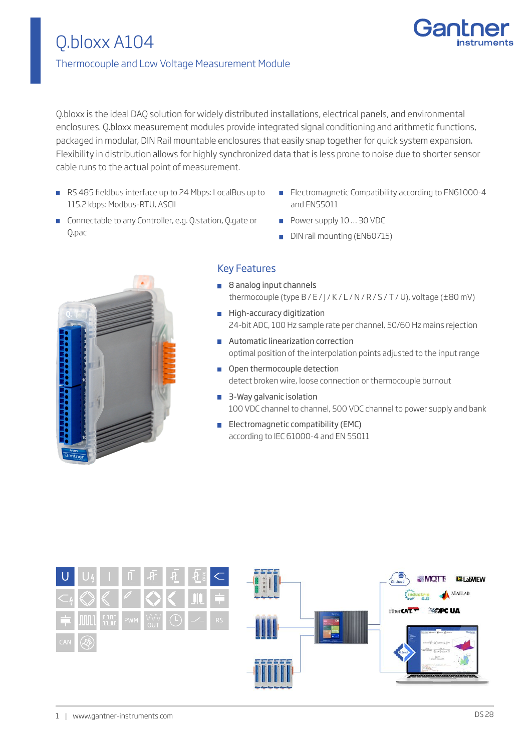

## Thermocouple and Low Voltage Measurement Module

Q.bloxx is the ideal DAQ solution for widely distributed installations, electrical panels, and environmental enclosures. Q.bloxx measurement modules provide integrated signal conditioning and arithmetic functions, packaged in modular, DIN Rail mountable enclosures that easily snap together for quick system expansion. Flexibility in distribution allows for highly synchronized data that is less prone to noise due to shorter sensor cable runs to the actual point of measurement.

- RS 485 fieldbus interface up to 24 Mbps: LocalBus up to 115.2 kbps: Modbus-RTU, ASCII
- **Electromagnetic Compatibility according to EN61000-4** and EN55011
- **Connectable to any Controller, e.g. Q.station, Q.gate or** Q.pac
- Power supply 10 ... 30 VDC
- DIN rail mounting (EN60715)



## Key Features

- 8 analog input channels thermocouple (type B / E / J / K / L / N / R / S / T / U), voltage (±80 mV)
- High-accuracy digitization 24-bit ADC, 100 Hz sample rate per channel, 50/60 Hz mains rejection
- **Automatic linearization correction** optimal position of the interpolation points adjusted to the input range
- **Open thermocouple detection** detect broken wire, loose connection or thermocouple burnout
- 3-Way galvanic isolation 100 VDC channel to channel, 500 VDC channel to power supply and bank
- **Electromagnetic compatibility (EMC)** according to IEC 61000-4 and EN 55011

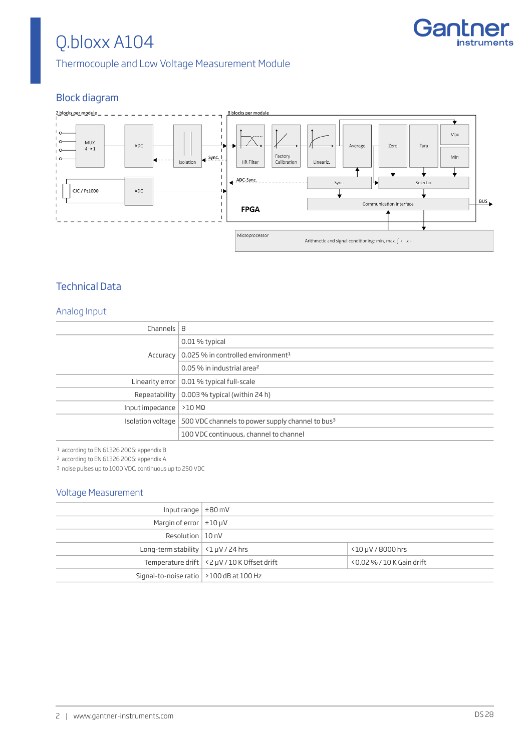

Thermocouple and Low Voltage Measurement Module

## Block diagram



## Technical Data

#### Analog Input

| Channels $ 8$                       |                                                                                       |
|-------------------------------------|---------------------------------------------------------------------------------------|
|                                     | 0.01 % typical                                                                        |
|                                     | Accuracy   $0.025$ % in controlled environment <sup>1</sup>                           |
|                                     | 0.05 % in industrial area <sup>2</sup>                                                |
|                                     | Linearity error   0.01 % typical full-scale                                           |
|                                     | Repeatability $\vert$ 0.003 % typical (within 24 h)                                   |
| Input impedance $  > 10$ M $\Omega$ |                                                                                       |
|                                     | Isolation voltage $\mid$ 500 VDC channels to power supply channel to bus <sup>3</sup> |
|                                     | 100 VDC continuous, channel to channel                                                |

1 according to EN 61326 2006: appendix B

2 according to EN 61326 2006: appendix A

3 noise pulses up to 1000 VDC, continuous up to 250 VDC

#### Voltage Measurement

| Input range $\pm 80$ mV                         |                                                  |                              |
|-------------------------------------------------|--------------------------------------------------|------------------------------|
| Margin of error $\pm 10 \mu V$                  |                                                  |                              |
| Resolution $ 10nV$                              |                                                  |                              |
| Long-term stability $\vert$ <1 $\mu$ V / 24 hrs |                                                  | $<$ 10 µV / 8000 hrs         |
|                                                 | Temperature drift $ $ < 2 µV / 10 K Offset drift | $<$ 0.02 % / 10 K Gain drift |
| Signal-to-noise ratio $\vert$ >100 dB at 100 Hz |                                                  |                              |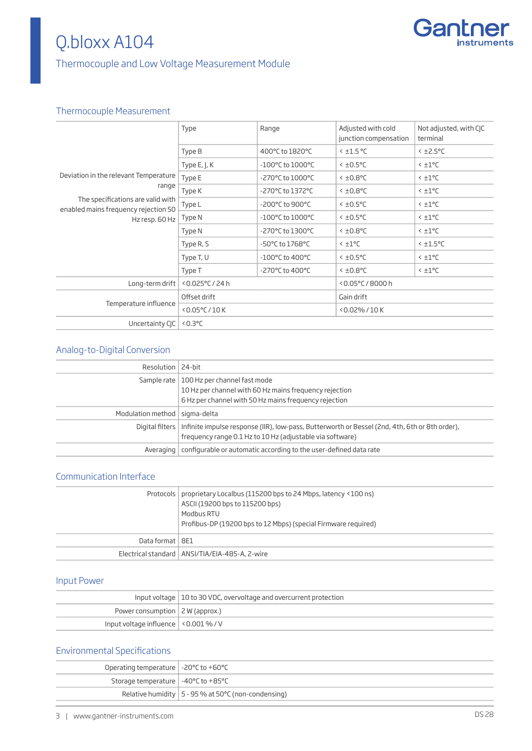

## Thermocouple and Low Voltage Measurement Module

## Thermocouple Measurement

| Deviation in the relevant Temperature                                     | Type                   | Range                                | Adjusted with cold<br>junction compensation | Not adjusted, with CJC<br>terminal |
|---------------------------------------------------------------------------|------------------------|--------------------------------------|---------------------------------------------|------------------------------------|
|                                                                           | Type B                 | 400°C to 1820°C                      | $<$ ±1.5 °C                                 | $<$ ±2.5°C                         |
|                                                                           | Type $E,$ J, $K$       | -100°C to 1000°C                     | $<$ ±0.5°C                                  | $< 10^{\circ}$                     |
|                                                                           | Type E                 | -270°C to 1000°C                     | $<$ ±0.8°C                                  | $< 10^{\circ}$                     |
| range                                                                     | Type K                 | -270°C to 1372°C                     | $5^{\circ}8.0\pm$                           | $< 10^{\circ}$ C                   |
| The specifications are valid with<br>enabled mains frequency rejection 50 | Type L                 | -200°C to 900°C                      | $<$ ±0.5°C                                  | $< 10^{\circ}$ C                   |
| Hz resp. 60 Hz                                                            | Type N                 | $-100^{\circ}$ C to $1000^{\circ}$ C | $<$ ±0.5°C                                  | $< 10^{\circ}$ C                   |
|                                                                           | Type N                 | -270°C to 1300°C                     | $<$ ±0.8°C                                  | $< 10^{\circ}$ C                   |
|                                                                           | Type R, S              | $-50^{\circ}$ C to 1768 $^{\circ}$ C | $< 10^{\circ}$                              | $<$ $\pm$ 1.5°C                    |
|                                                                           | Type T, U              | $-100^{\circ}$ C to 400 $^{\circ}$ C | $<$ $\pm$ 0.5°C                             | $< 10^{\circ}$                     |
|                                                                           | Type T                 | -270°C to 400°C                      | $<$ ±0.8°C                                  | $< \pm 1$ °C                       |
| Long-term drift                                                           | <0.025°C / 24 h        |                                      | <0.05°C/8000h                               |                                    |
| Temperature influence                                                     | Offset drift           |                                      | Gain drift                                  |                                    |
|                                                                           | $< 0.05^{\circ}$ C/10K |                                      | <0.02%/10K                                  |                                    |
| Uncertainty CJC                                                           | $0.3$ °C               |                                      |                                             |                                    |

## Analog-to-Digital Conversion

| Resolution   24-bit             |                                                                                                                                                                               |
|---------------------------------|-------------------------------------------------------------------------------------------------------------------------------------------------------------------------------|
|                                 | Sample rate   100 Hz per channel fast mode<br>10 Hz per channel with 60 Hz mains frequency rejection<br>6 Hz per channel with 50 Hz mains frequency rejection                 |
| Modulation method   sigma-delta |                                                                                                                                                                               |
|                                 | Digital filters   Infinite impulse response (IIR), low-pass, Butterworth or Bessel (2nd, 4th, 6th or 8th order),<br>frequency range 0.1 Hz to 10 Hz (adjustable via software) |
|                                 | Averaging   configurable or automatic according to the user-defined data rate                                                                                                 |

### Communication Interface

|                   | Protocols   proprietary Localbus (115200 bps to 24 Mbps, latency <100 ns)<br>ASCII (19200 bps to 115200 bps)<br>Modbus RTU<br>Profibus-DP (19200 bps to 12 Mbps) (special Firmware required) |
|-------------------|----------------------------------------------------------------------------------------------------------------------------------------------------------------------------------------------|
| Data format   8E1 |                                                                                                                                                                                              |
|                   | Electrical standard   ANSI/TIA/EIA-485-A, 2-wire                                                                                                                                             |

## Input Power

|                                              | Input voltage   10 to 30 VDC, overvoltage and overcurrent protection |
|----------------------------------------------|----------------------------------------------------------------------|
| Power consumption $ $ 2 W (approx.)          |                                                                      |
| Input voltage influence $\vert$ <0.001 % / V |                                                                      |

## Environmental Specifications

| Operating temperature $\vert$ -20 $\degree$ C to +60 $\degree$ C |                                                           |
|------------------------------------------------------------------|-----------------------------------------------------------|
| Storage temperature $\vert -40^{\circ}$ C to +85 $^{\circ}$ C    |                                                           |
|                                                                  | Relative humidity $ 5 - 95\%$ at 50 $°C$ (non-condensing) |